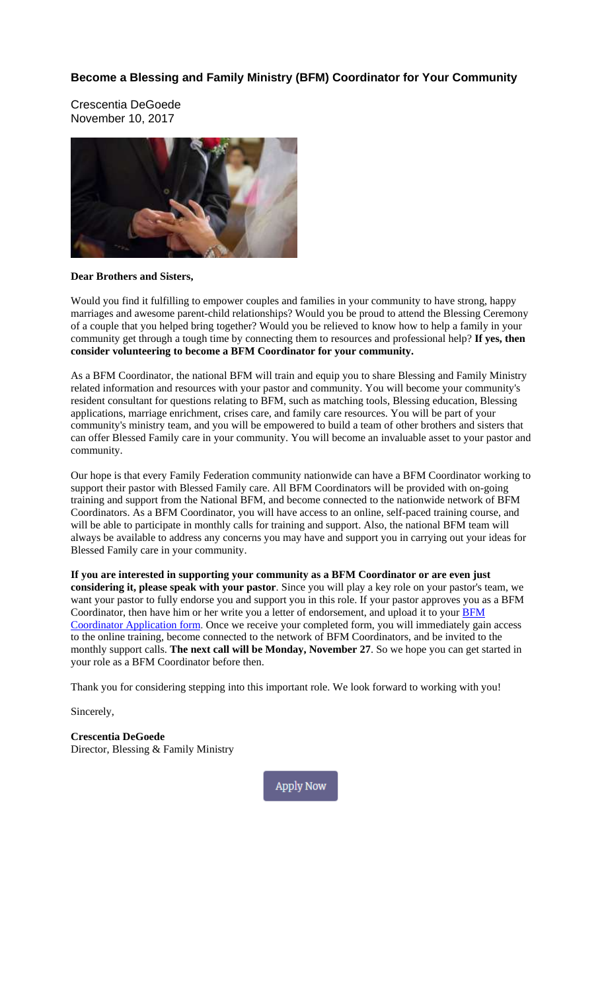#### **Become a Blessing and Family Ministry (BFM) Coordinator for Your Community**

Crescentia DeGoede November 10, 2017



#### **Dear Brothers and Sisters,**

Would you find it fulfilling to empower couples and families in your community to have strong, happy marriages and awesome parent-child relationships? Would you be proud to attend the Blessing Ceremony of a couple that you helped bring together? Would you be relieved to know how to help a family in your community get through a tough time by connecting them to resources and professional help? **If yes, then consider volunteering to become a BFM Coordinator for your community.**

As a BFM Coordinator, the national BFM will train and equip you to share Blessing and Family Ministry related information and resources with your pastor and community. You will become your community's resident consultant for questions relating to BFM, such as matching tools, Blessing education, Blessing applications, marriage enrichment, crises care, and family care resources. You will be part of your community's ministry team, and you will be empowered to build a team of other brothers and sisters that can offer Blessed Family care in your community. You will become an invaluable asset to your pastor and community.

Our hope is that every Family Federation community nationwide can have a BFM Coordinator working to support their pastor with Blessed Family care. All BFM Coordinators will be provided with on-going training and support from the National BFM, and become connected to the nationwide network of BFM Coordinators. As a BFM Coordinator, you will have access to an online, self-paced training course, and will be able to participate in monthly calls for training and support. Also, the national BFM team will always be available to address any concerns you may have and support you in carrying out your ideas for Blessed Family care in your community.

**If you are interested in supporting your community as a BFM Coordinator or are even just considering it, please speak with your pastor**. Since you will play a key role on your pastor's team, we want your pastor to fully endorse you and support you in this role. If your pastor approves you as a BFM Coordinator, then have him or her write you a letter of endorsement, and upload it to your [BFM](#page-1-0) [Coordinator](#page-1-0) Application form. Once we receive your completed form, you will immediately gain access to the online training, become connected to the network of BFM Coordinators, and be invited to the monthly support calls. **The next call will be Monday, November 27**. So we hope you can get started in your role as a BFM Coordinator before then.

Thank you for considering stepping into this important role. We look forward to working with you!

Sincerely,

**Crescentia DeGoede** Director, Blessing & Family Ministry

**Apply Now**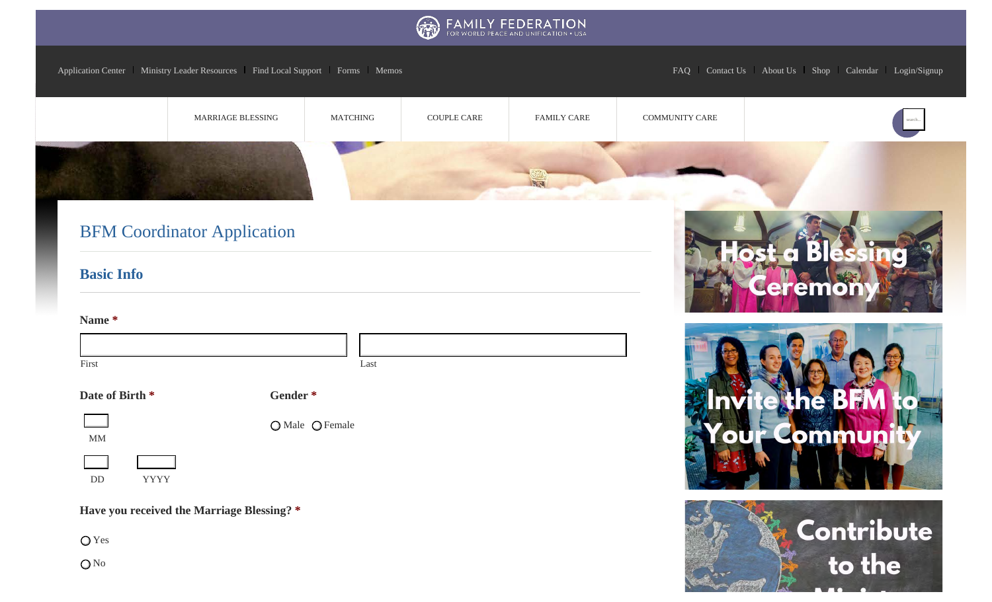

Application Center | Ministry Leader Resources | Find Local Support | Forms | Memos FAQ | Contact Us | About Us | Shop | Calendar | Login/Signup

<span id="page-1-1"></span><span id="page-1-0"></span>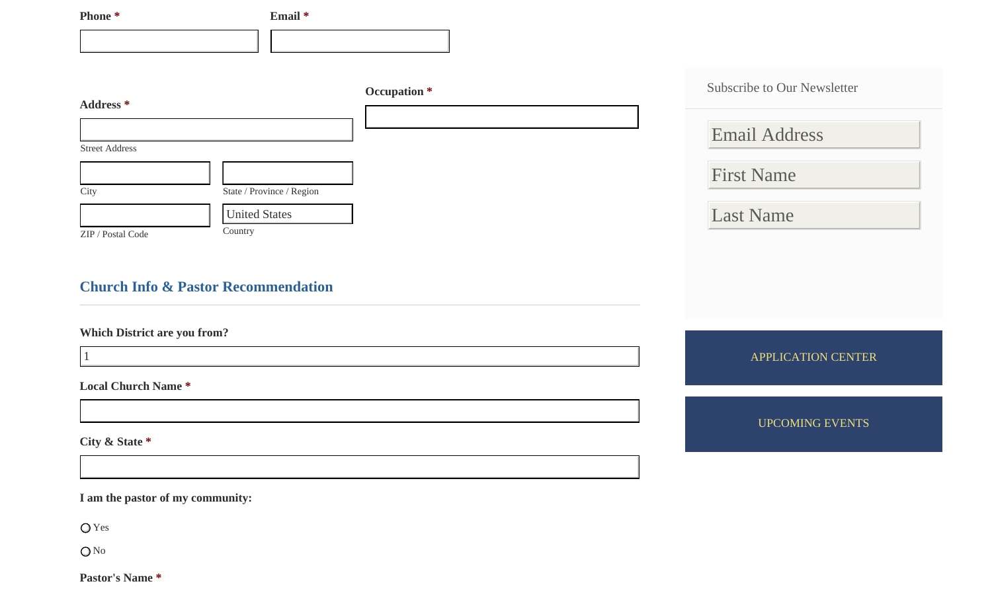| Phone <sup>*</sup>                             | Email *                   |                                                            |
|------------------------------------------------|---------------------------|------------------------------------------------------------|
|                                                |                           |                                                            |
| Address *<br><b>Street Address</b>             | Occupation *              | <b>Subscribe to Our Newsletter</b><br><b>Email Address</b> |
|                                                |                           | <b>First Name</b>                                          |
| City                                           | State / Province / Region |                                                            |
| Country<br>ZIP / Postal Code                   | <b>United States</b>      | <b>Last Name</b>                                           |
|                                                |                           |                                                            |
| <b>Church Info &amp; Pastor Recommendation</b> |                           |                                                            |
| Which District are you from?                   |                           |                                                            |
| $\vert$ 1                                      |                           | <b>APPLICATION CENTER</b>                                  |
| <b>Local Church Name*</b>                      |                           |                                                            |
|                                                |                           | <b>UPCOMING EVENTS</b>                                     |
| City & State *                                 |                           |                                                            |
|                                                |                           |                                                            |
| I am the pastor of my community:               |                           |                                                            |

Yes

O<sub>No</sub>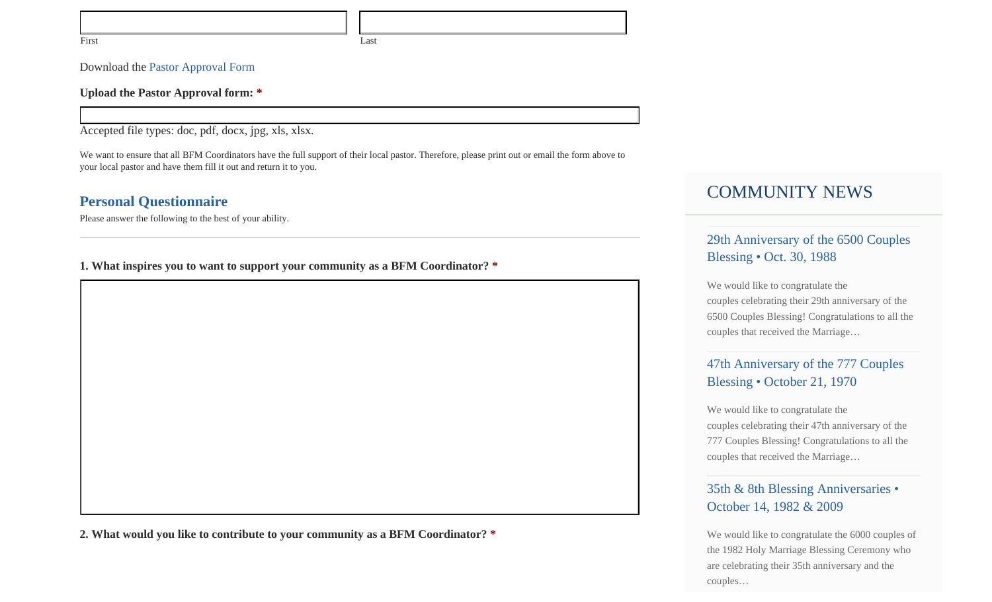Download the Pastor Approval Form

**Upload the Pastor Approval form: \***

Accepted file types: doc, pdf, docx, jpg, xls, xlsx.

We want to ensure that all BFM Coordinators have the full support of their local pastor. Therefore, please print out or email the form above to your local pastor and have them fill it out and return it to you.

### **Personal Questionnaire**

Please answer the following to the best of your ability.

**1. What inspires you to want to support your community as a BFM Coordinator? \***

**2. What would you like to contribute to your community as a BFM Coordinator? \***

# COMMUNITY NEWS

29th Anniversary of the 6500 Couples Blessing • Oct. 30, 1988

We would like to congratulate the couples celebrating their 29th anniversary of the 6500 Couples Blessing! Congratulations to all the couples that received the Marriage…

## 47th Anniversary of the 777 Couples Blessing • October 21, 1970

We would like to congratulate the couples celebrating their 47th anniversary of the 777 Couples Blessing! Congratulations to all the couples that received the Marriage…

## 35th & 8th Blessing Anniversaries • October 14, 1982 & 2009

We would like to congratulate the 6000 couples of the 1982 Holy Marriage Blessing Ceremony who are celebrating their 35th anniversary and the couples…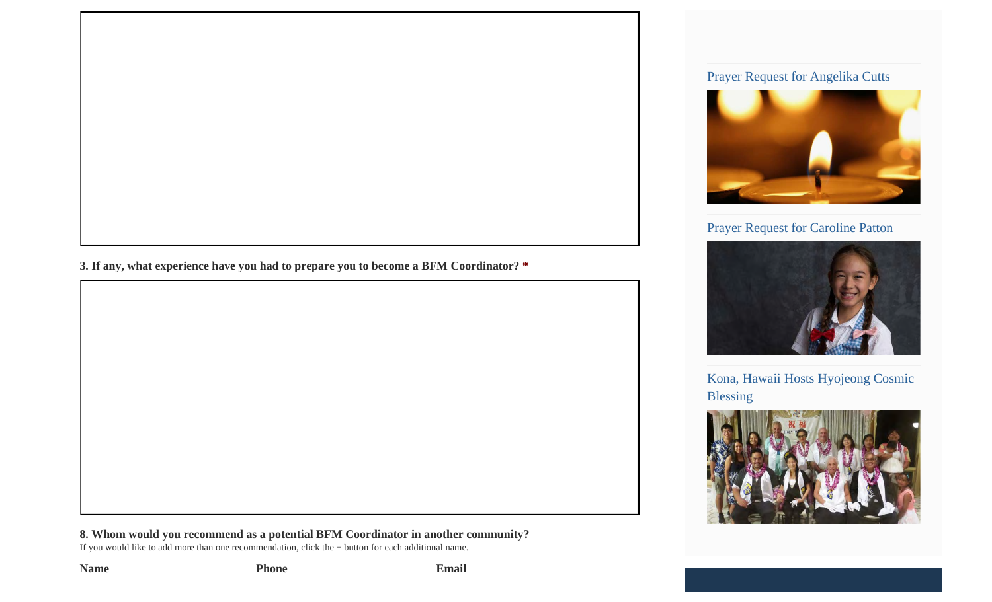#### Prayer Request for Angelika Cutts



## Prayer Request for Caroline Patton



Kona, Hawaii Hosts Hyojeong Cosmic Blessing



**3. If any, what experience have you had to prepare you to become a BFM Coordinator? \***

**8. Whom would you recommend as a potential BFM Coordinator in another community?**

If you would like to add more than one recommendation, click the + button for each additional name.